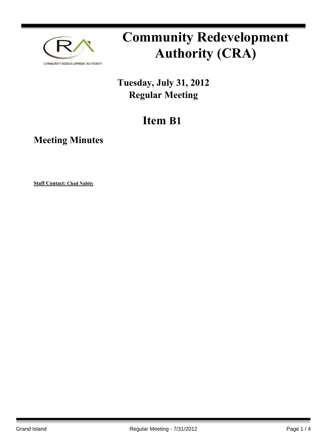

# **Community Redevelopment Authority (CRA)**

### **Tuesday, July 31, 2012 Regular Meeting**

## **Item B1**

**Meeting Minutes**

**Staff Contact: Chad Nabity**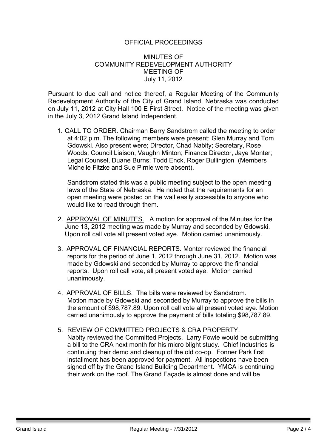#### OFFICIAL PROCEEDINGS

#### MINUTES OF COMMUNITY REDEVELOPMENT AUTHORITY MEETING OF July 11, 2012

Pursuant to due call and notice thereof, a Regular Meeting of the Community Redevelopment Authority of the City of Grand Island, Nebraska was conducted on July 11, 2012 at City Hall 100 E First Street. Notice of the meeting was given in the July 3, 2012 Grand Island Independent.

1. CALL TO ORDER. Chairman Barry Sandstrom called the meeting to order at 4:02 p.m. The following members were present: Glen Murray and Tom Gdowski. Also present were; Director, Chad Nabity; Secretary, Rose Woods; Council Liaison, Vaughn Minton; Finance Director, Jaye Monter; Legal Counsel, Duane Burns; Todd Enck, Roger Bullington (Members Michelle Fitzke and Sue Pirnie were absent).

Sandstrom stated this was a public meeting subject to the open meeting laws of the State of Nebraska. He noted that the requirements for an open meeting were posted on the wall easily accessible to anyone who would like to read through them.

- 2. APPROVAL OF MINUTES. A motion for approval of the Minutes for the June 13, 2012 meeting was made by Murray and seconded by Gdowski. Upon roll call vote all present voted aye. Motion carried unanimously.
- 3. APPROVAL OF FINANCIAL REPORTS. Monter reviewed the financial reports for the period of June 1, 2012 through June 31, 2012. Motion was made by Gdowski and seconded by Murray to approve the financial reports. Upon roll call vote, all present voted aye. Motion carried unanimously.
- 4. APPROVAL OF BILLS. The bills were reviewed by Sandstrom. Motion made by Gdowski and seconded by Murray to approve the bills in the amount of \$98,787.89. Upon roll call vote all present voted aye. Motion carried unanimously to approve the payment of bills totaling \$98,787.89.
- 5. REVIEW OF COMMITTED PROJECTS & CRA PROPERTY. Nabity reviewed the Committed Projects. Larry Fowle would be submitting a bill to the CRA next month for his micro blight study. Chief Industries is continuing their demo and cleanup of the old co-op. Fonner Park first installment has been approved for payment. All inspections have been signed off by the Grand Island Building Department. YMCA is continuing their work on the roof. The Grand Façade is almost done and will be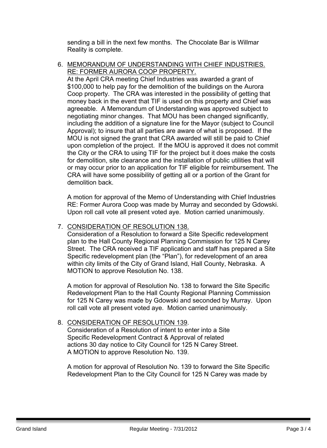sending a bill in the next few months. The Chocolate Bar is Willmar Reality is complete.

6. MEMORANDUM OF UNDERSTANDING WITH CHIEF INDUSTRIES. RE: FORMER AURORA COOP PROPERTY.

At the April CRA meeting Chief Industries was awarded a grant of \$100,000 to help pay for the demolition of the buildings on the Aurora Coop property. The CRA was interested in the possibility of getting that money back in the event that TIF is used on this property and Chief was agreeable. A Memorandum of Understanding was approved subject to negotiating minor changes. That MOU has been changed significantly, including the addition of a signature line for the Mayor (subject to Council Approval); to insure that all parties are aware of what is proposed. If the MOU is not signed the grant that CRA awarded will still be paid to Chief upon completion of the project. If the MOU is approved it does not commit the City or the CRA to using TIF for the project but it does make the costs for demolition, site clearance and the installation of public utilities that will or may occur prior to an application for TIF eligible for reimbursement. The CRA will have some possibility of getting all or a portion of the Grant for demolition back.

A motion for approval of the Memo of Understanding with Chief Industries RE: Former Aurora Coop was made by Murray and seconded by Gdowski. Upon roll call vote all present voted aye. Motion carried unanimously.

#### 7. CONSIDERATION OF RESOLUTION 138.

Consideration of a Resolution to forward a Site Specific redevelopment plan to the Hall County Regional Planning Commission for 125 N Carey Street. The CRA received a TIF application and staff has prepared a Site Specific redevelopment plan (the "Plan"), for redevelopment of an area within city limits of the City of Grand Island, Hall County, Nebraska. A MOTION to approve Resolution No. 138.

A motion for approval of Resolution No. 138 to forward the Site Specific Redevelopment Plan to the Hall County Regional Planning Commission for 125 N Carey was made by Gdowski and seconded by Murray. Upon roll call vote all present voted aye. Motion carried unanimously.

#### 8. CONSIDERATION OF RESOLUTION 139.

Consideration of a Resolution of intent to enter into a Site Specific Redevelopment Contract & Approval of related actions 30 day notice to City Council for 125 N Carey Street. A MOTION to approve Resolution No. 139.

A motion for approval of Resolution No. 139 to forward the Site Specific Redevelopment Plan to the City Council for 125 N Carey was made by